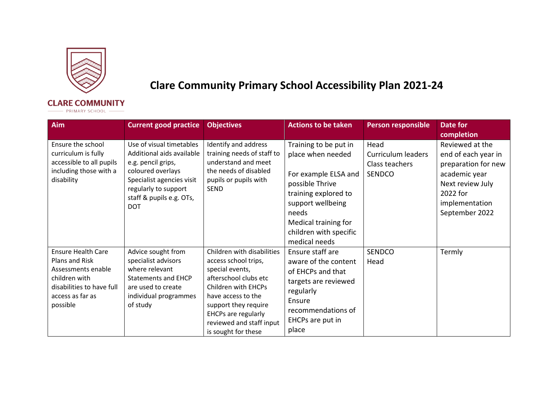

## **Clare Community Primary School Accessibility Plan 2021-24**

## **CLARE COMMUNITY**

- PRIMARY SCHOOL

| Aim                                                                                                                                             | <b>Current good practice</b>                                                                                                                                                                    | <b>Objectives</b>                                                                                                                                                                                                                             | <b>Actions to be taken</b>                                                                                                                                                                                     | <b>Person responsible</b>                                     | Date for<br>completion                                                                                                                             |
|-------------------------------------------------------------------------------------------------------------------------------------------------|-------------------------------------------------------------------------------------------------------------------------------------------------------------------------------------------------|-----------------------------------------------------------------------------------------------------------------------------------------------------------------------------------------------------------------------------------------------|----------------------------------------------------------------------------------------------------------------------------------------------------------------------------------------------------------------|---------------------------------------------------------------|----------------------------------------------------------------------------------------------------------------------------------------------------|
| Ensure the school<br>curriculum is fully<br>accessible to all pupils<br>including those with a<br>disability                                    | Use of visual timetables<br>Additional aids available<br>e.g. pencil grips,<br>coloured overlays<br>Specialist agencies visit<br>regularly to support<br>staff & pupils e.g. OTs,<br><b>DOT</b> | Identify and address<br>training needs of staff to<br>understand and meet<br>the needs of disabled<br>pupils or pupils with<br><b>SEND</b>                                                                                                    | Training to be put in<br>place when needed<br>For example ELSA and<br>possible Thrive<br>training explored to<br>support wellbeing<br>needs<br>Medical training for<br>children with specific<br>medical needs | Head<br>Curriculum leaders<br>Class teachers<br><b>SENDCO</b> | Reviewed at the<br>end of each year in<br>preparation for new<br>academic year<br>Next review July<br>2022 for<br>implementation<br>September 2022 |
| <b>Ensure Health Care</b><br>Plans and Risk<br>Assessments enable<br>children with<br>disabilities to have full<br>access as far as<br>possible | Advice sought from<br>specialist advisors<br>where relevant<br><b>Statements and EHCP</b><br>are used to create<br>individual programmes<br>of study                                            | Children with disabilities<br>access school trips,<br>special events,<br>afterschool clubs etc<br>Children with EHCPs<br>have access to the<br>support they require<br>EHCPs are regularly<br>reviewed and staff input<br>is sought for these | Ensure staff are<br>aware of the content<br>of EHCPs and that<br>targets are reviewed<br>regularly<br>Ensure<br>recommendations of<br>EHCPs are put in<br>place                                                | <b>SENDCO</b><br>Head                                         | Termly                                                                                                                                             |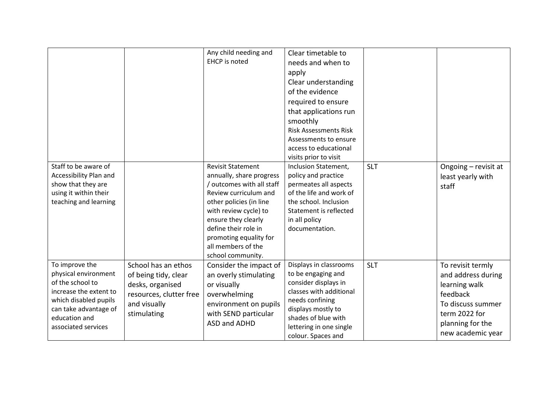| Staff to be aware of<br>Accessibility Plan and                                                                                                                                 |                                                                                                                           | Any child needing and<br><b>EHCP</b> is noted<br><b>Revisit Statement</b><br>annually, share progress                                                                                                                      | Clear timetable to<br>needs and when to<br>apply<br>Clear understanding<br>of the evidence<br>required to ensure<br>that applications run<br>smoothly<br><b>Risk Assessments Risk</b><br>Assessments to ensure<br>access to educational<br>visits prior to visit<br>Inclusion Statement,<br>policy and practice | <b>SLT</b> | Ongoing - revisit at<br>least yearly with                                                                                                           |
|--------------------------------------------------------------------------------------------------------------------------------------------------------------------------------|---------------------------------------------------------------------------------------------------------------------------|----------------------------------------------------------------------------------------------------------------------------------------------------------------------------------------------------------------------------|-----------------------------------------------------------------------------------------------------------------------------------------------------------------------------------------------------------------------------------------------------------------------------------------------------------------|------------|-----------------------------------------------------------------------------------------------------------------------------------------------------|
| show that they are<br>using it within their<br>teaching and learning                                                                                                           |                                                                                                                           | / outcomes with all staff<br>Review curriculum and<br>other policies (in line<br>with review cycle) to<br>ensure they clearly<br>define their role in<br>promoting equality for<br>all members of the<br>school community. | permeates all aspects<br>of the life and work of<br>the school. Inclusion<br>Statement is reflected<br>in all policy<br>documentation.                                                                                                                                                                          |            | staff                                                                                                                                               |
| To improve the<br>physical environment<br>of the school to<br>increase the extent to<br>which disabled pupils<br>can take advantage of<br>education and<br>associated services | School has an ethos<br>of being tidy, clear<br>desks, organised<br>resources, clutter free<br>and visually<br>stimulating | Consider the impact of<br>an overly stimulating<br>or visually<br>overwhelming<br>environment on pupils<br>with SEND particular<br>ASD and ADHD                                                                            | Displays in classrooms<br>to be engaging and<br>consider displays in<br>classes with additional<br>needs confining<br>displays mostly to<br>shades of blue with<br>lettering in one single<br>colour. Spaces and                                                                                                | <b>SLT</b> | To revisit termly<br>and address during<br>learning walk<br>feedback<br>To discuss summer<br>term 2022 for<br>planning for the<br>new academic year |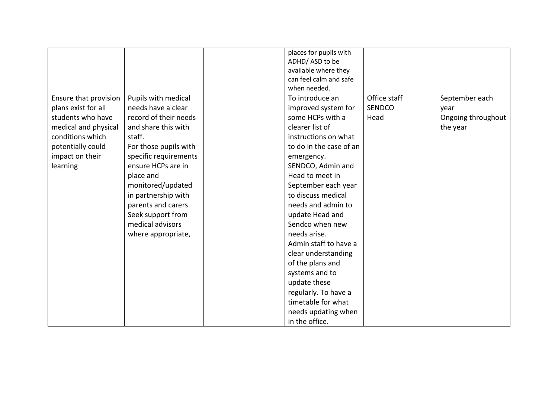|                       |                       | places for pupils with  |               |                    |
|-----------------------|-----------------------|-------------------------|---------------|--------------------|
|                       |                       | ADHD/ASD to be          |               |                    |
|                       |                       | available where they    |               |                    |
|                       |                       | can feel calm and safe  |               |                    |
|                       |                       | when needed.            |               |                    |
| Ensure that provision | Pupils with medical   | To introduce an         | Office staff  | September each     |
| plans exist for all   | needs have a clear    | improved system for     | <b>SENDCO</b> | year               |
| students who have     | record of their needs | some HCPs with a        | Head          | Ongoing throughout |
| medical and physical  | and share this with   | clearer list of         |               | the year           |
| conditions which      | staff.                | instructions on what    |               |                    |
| potentially could     | For those pupils with | to do in the case of an |               |                    |
| impact on their       | specific requirements | emergency.              |               |                    |
| learning              | ensure HCPs are in    | SENDCO, Admin and       |               |                    |
|                       | place and             | Head to meet in         |               |                    |
|                       | monitored/updated     | September each year     |               |                    |
|                       | in partnership with   | to discuss medical      |               |                    |
|                       | parents and carers.   | needs and admin to      |               |                    |
|                       | Seek support from     | update Head and         |               |                    |
|                       | medical advisors      | Sendco when new         |               |                    |
|                       | where appropriate,    | needs arise.            |               |                    |
|                       |                       | Admin staff to have a   |               |                    |
|                       |                       | clear understanding     |               |                    |
|                       |                       | of the plans and        |               |                    |
|                       |                       | systems and to          |               |                    |
|                       |                       | update these            |               |                    |
|                       |                       | regularly. To have a    |               |                    |
|                       |                       | timetable for what      |               |                    |
|                       |                       | needs updating when     |               |                    |
|                       |                       | in the office.          |               |                    |
|                       |                       |                         |               |                    |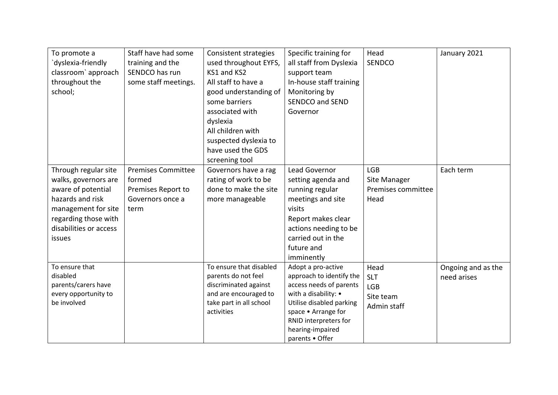| To promote a           | Staff have had some       | Consistent strategies   | Specific training for                     | Head               | January 2021       |
|------------------------|---------------------------|-------------------------|-------------------------------------------|--------------------|--------------------|
| dyslexia-friendly      | training and the          | used throughout EYFS,   | all staff from Dyslexia                   | SENDCO             |                    |
| classroom' approach    | SENDCO has run            | KS1 and KS2             | support team                              |                    |                    |
| throughout the         | some staff meetings.      | All staff to have a     | In-house staff training                   |                    |                    |
| school;                |                           | good understanding of   | Monitoring by                             |                    |                    |
|                        |                           | some barriers           | <b>SENDCO and SEND</b>                    |                    |                    |
|                        |                           | associated with         | Governor                                  |                    |                    |
|                        |                           | dyslexia                |                                           |                    |                    |
|                        |                           | All children with       |                                           |                    |                    |
|                        |                           | suspected dyslexia to   |                                           |                    |                    |
|                        |                           | have used the GDS       |                                           |                    |                    |
|                        |                           | screening tool          |                                           |                    |                    |
| Through regular site   | <b>Premises Committee</b> | Governors have a rag    | Lead Governor                             | <b>LGB</b>         | Each term          |
| walks, governors are   | formed                    | rating of work to be    | setting agenda and                        | Site Manager       |                    |
| aware of potential     | Premises Report to        | done to make the site   | running regular                           | Premises committee |                    |
| hazards and risk       | Governors once a          | more manageable         | meetings and site                         | Head               |                    |
| management for site    | term                      |                         | visits                                    |                    |                    |
| regarding those with   |                           |                         | Report makes clear                        |                    |                    |
| disabilities or access |                           |                         | actions needing to be                     |                    |                    |
| issues                 |                           |                         | carried out in the                        |                    |                    |
|                        |                           |                         | future and                                |                    |                    |
|                        |                           |                         | imminently                                |                    |                    |
| To ensure that         |                           | To ensure that disabled | Adopt a pro-active                        | Head               | Ongoing and as the |
| disabled               |                           | parents do not feel     | approach to identify the                  | <b>SLT</b>         | need arises        |
| parents/carers have    |                           | discriminated against   | access needs of parents                   | LGB                |                    |
| every opportunity to   |                           | and are encouraged to   | with a disability: •                      | Site team          |                    |
| be involved            |                           | take part in all school | Utilise disabled parking                  | Admin staff        |                    |
|                        |                           | activities              | space • Arrange for                       |                    |                    |
|                        |                           |                         | RNID interpreters for<br>hearing-impaired |                    |                    |
|                        |                           |                         | parents • Offer                           |                    |                    |
|                        |                           |                         |                                           |                    |                    |